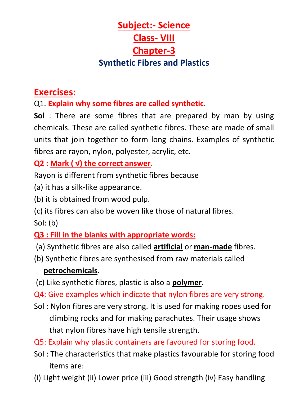# **Subject:- Science Class- VIII Chapter-3 Synthetic Fibres and Plastics**

# **Exercises**:

Q1. **Explain why some fibres are called synthetic**.

**Sol** : There are some fibres that are prepared by man by using chemicals. These are called synthetic fibres. These are made of small units that join together to form long chains. Examples of synthetic fibres are rayon, nylon, polyester, acrylic, etc.

#### **Q2 : Mark ( √) the correct answer.**

Rayon is different from synthetic fibres because

- (a) it has a silk-like appearance.
- (b) it is obtained from wood pulp.
- (c) its fibres can also be woven like those of natural fibres.

Sol: (b)

### **Q3 : Fill in the blanks with appropriate words:**

- (a) Synthetic fibres are also called **artificial** or **man-made** fibres.
- (b) Synthetic fibres are synthesised from raw materials called **petrochemicals**.
- (c) Like synthetic fibres, plastic is also a **polymer**.
- Q4: Give examples which indicate that nylon fibres are very strong.
- Sol : Nylon fibres are very strong. It is used for making ropes used for climbing rocks and for making parachutes. Their usage shows that nylon fibres have high tensile strength.
- Q5: Explain why plastic containers are favoured for storing food.
- Sol : The characteristics that make plastics favourable for storing food items are:
- (i) Light weight (ii) Lower price (iii) Good strength (iv) Easy handling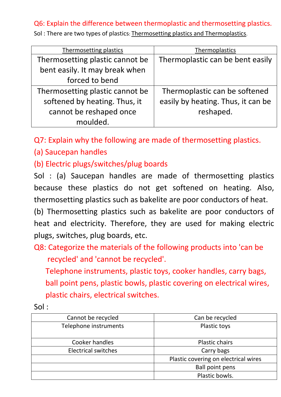#### Q6: Explain the difference between thermoplastic and thermosetting plastics.

Sol : There are two types of plastics: Thermosetting plastics and Thermoplastics.

| Thermosetting plastics          | Thermoplastics                     |
|---------------------------------|------------------------------------|
| Thermosetting plastic cannot be | Thermoplastic can be bent easily   |
| bent easily. It may break when  |                                    |
| forced to bend                  |                                    |
| Thermosetting plastic cannot be | Thermoplastic can be softened      |
| softened by heating. Thus, it   | easily by heating. Thus, it can be |
| cannot be reshaped once         | reshaped.                          |
| moulded.                        |                                    |

Q7: Explain why the following are made of thermosetting plastics.

(a) Saucepan handles

(b) Electric plugs/switches/plug boards

Sol : (a) Saucepan handles are made of thermosetting plastics because these plastics do not get softened on heating. Also, thermosetting plastics such as bakelite are poor conductors of heat.

(b) Thermosetting plastics such as bakelite are poor conductors of heat and electricity. Therefore, they are used for making electric plugs, switches, plug boards, etc.

Q8: Categorize the materials of the following products into 'can be recycled' and 'cannot be recycled'.

 Telephone instruments, plastic toys, cooker handles, carry bags, ball point pens, plastic bowls, plastic covering on electrical wires, plastic chairs, electrical switches.

| I<br>ı<br>ı<br>× |  |
|------------------|--|
|                  |  |

| Cannot be recycled         | Can be recycled                      |
|----------------------------|--------------------------------------|
| Telephone instruments      | Plastic toys                         |
|                            |                                      |
| Cooker handles             | <b>Plastic chairs</b>                |
| <b>Electrical switches</b> | Carry bags                           |
|                            | Plastic covering on electrical wires |
|                            | <b>Ball point pens</b>               |
|                            | Plastic bowls.                       |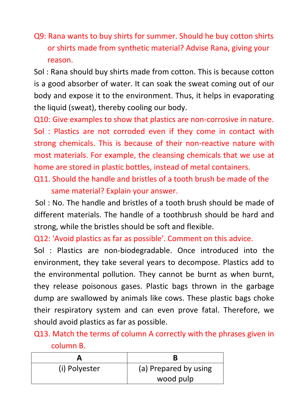Q9: Rana wants to buy shirts for summer. Should he buy cotton shirts or shirts made from synthetic material? Advise Rana, giving your reason.

Sol : Rana should buy shirts made from cotton. This is because cotton is a good absorber of water. It can soak the sweat coming out of our body and expose it to the environment. Thus, it helps in evaporating the liquid (sweat), thereby cooling our body.

Q10: Give examples to show that plastics are non-corrosive in nature. Sol : Plastics are not corroded even if they come in contact with strong chemicals. This is because of their non-reactive nature with most materials. For example, the cleansing chemicals that we use at home are stored in plastic bottles, instead of metal containers.

Q11. Should the handle and bristles of a tooth brush be made of the same material? Explain your answer.

Sol : No. The handle and bristles of a tooth brush should be made of different materials. The handle of a toothbrush should be hard and strong, while the bristles should be soft and flexible.

Q12: 'Avoid plastics as far as possible'. Comment on this advice.

Sol : Plastics are non-biodegradable. Once introduced into the environment, they take several years to decompose. Plastics add to the environmental pollution. They cannot be burnt as when burnt, they release poisonous gases. Plastic bags thrown in the garbage dump are swallowed by animals like cows. These plastic bags choke their respiratory system and can even prove fatal. Therefore, we should avoid plastics as far as possible.

Q13. Match the terms of column A correctly with the phrases given in column B.

| (i) Polyester | (a) Prepared by using |
|---------------|-----------------------|
|               | wood pulp             |